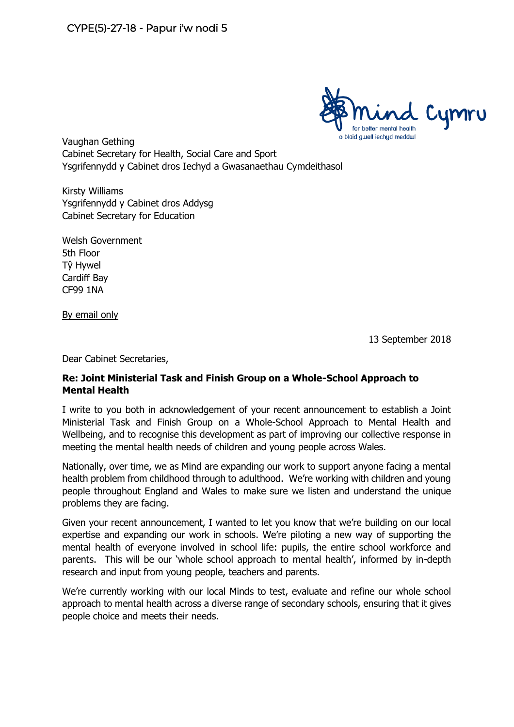

Vaughan Gething Cabinet Secretary for Health, Social Care and Sport Ysgrifennydd y Cabinet dros Iechyd a Gwasanaethau Cymdeithasol

Kirsty Williams Ysgrifennydd y Cabinet dros Addysg Cabinet Secretary for Education

Welsh Government 5th Floor Tŷ Hywel Cardiff Bay CF99 1NA

By email only

13 September 2018

Dear Cabinet Secretaries,

## **Re: Joint Ministerial Task and Finish Group on a Whole-School Approach to Mental Health**

I write to you both in acknowledgement of your recent announcement to establish a Joint Ministerial Task and Finish Group on a Whole-School Approach to Mental Health and Wellbeing, and to recognise this development as part of improving our collective response in meeting the mental health needs of children and young people across Wales.

Nationally, over time, we as Mind are expanding our work to support anyone facing a mental health problem from childhood through to adulthood. We're working with children and young people throughout England and Wales to make sure we listen and understand the unique problems they are facing.

Given your recent announcement, I wanted to let you know that we're building on our local expertise and expanding our work in schools. We're piloting a new way of supporting the mental health of everyone involved in school life: pupils, the entire school workforce and parents. This will be our 'whole school approach to mental health', informed by in-depth research and input from young people, teachers and parents.

We're currently working with our local Minds to test, evaluate and refine our whole school approach to mental health across a diverse range of secondary schools, ensuring that it gives people choice and meets their needs.